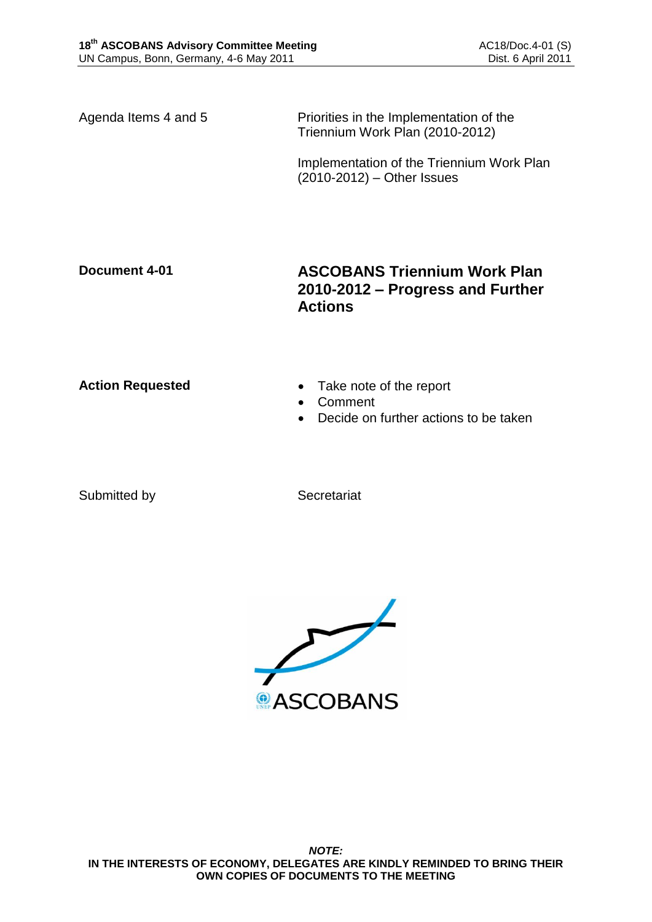Agenda Items 4 and 5 Priorities in the Implementation of the Triennium Work Plan (2010-2012)

> Implementation of the Triennium Work Plan (2010-2012) – Other Issues

## **Document 4-01 ASCOBANS Triennium Work Plan 2010-2012 – Progress and Further Actions**

- Action Requested **Action Requested Action Requested Take note of the report** 
	- Comment
	- Decide on further actions to be taken

Submitted by Secretariat

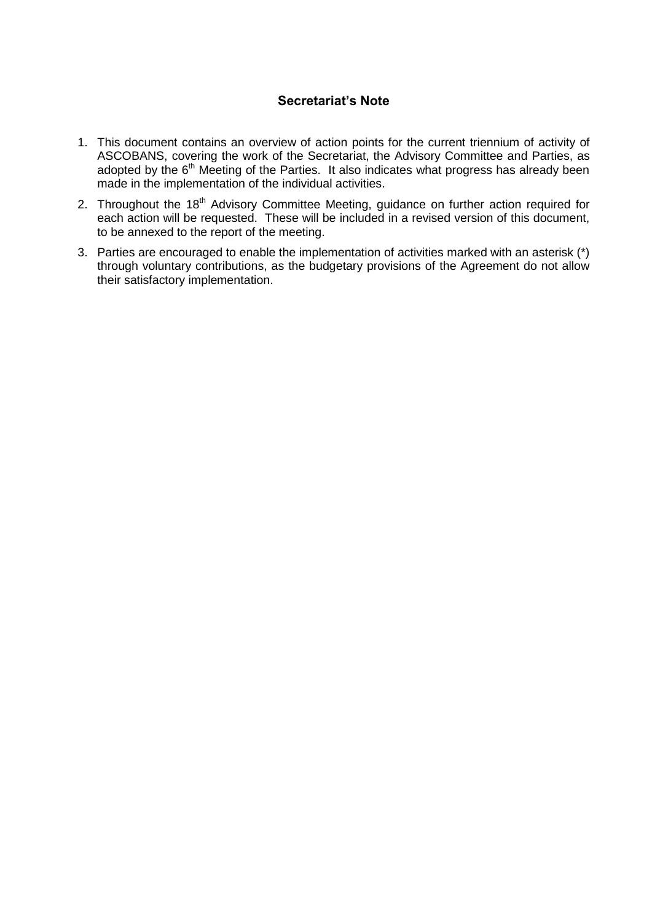## **Secretariat's Note**

- 1. This document contains an overview of action points for the current triennium of activity of ASCOBANS, covering the work of the Secretariat, the Advisory Committee and Parties, as adopted by the 6<sup>th</sup> Meeting of the Parties. It also indicates what progress has already been made in the implementation of the individual activities.
- 2. Throughout the 18<sup>th</sup> Advisory Committee Meeting, guidance on further action required for each action will be requested. These will be included in a revised version of this document, to be annexed to the report of the meeting.
- 3. Parties are encouraged to enable the implementation of activities marked with an asterisk (\*) through voluntary contributions, as the budgetary provisions of the Agreement do not allow their satisfactory implementation.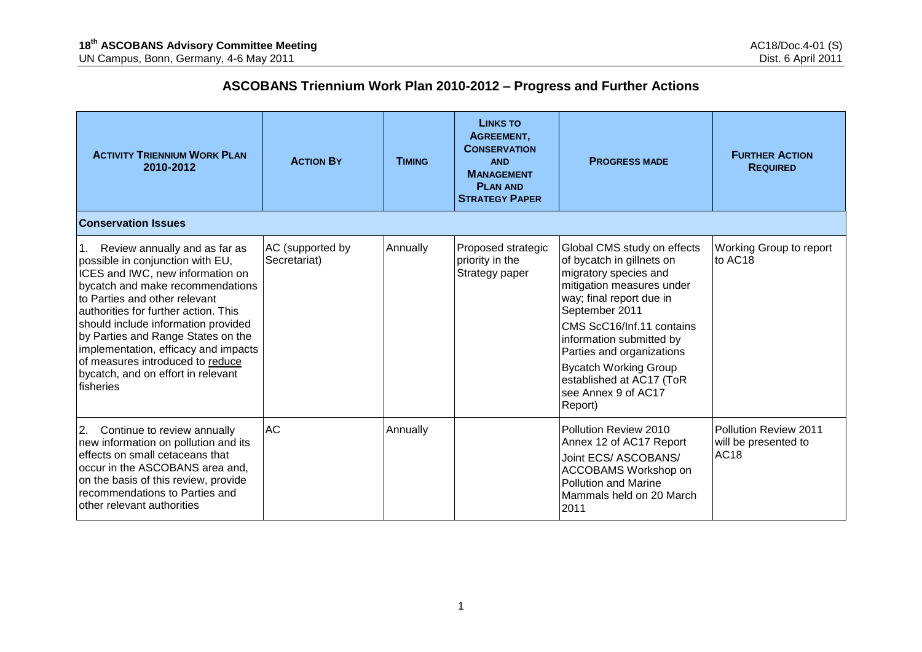# **ASCOBANS Triennium Work Plan 2010-2012 – Progress and Further Actions**

| <b>ACTIVITY TRIENNIUM WORK PLAN</b><br>2010-2012                                                                                                                                                                                                                                                                                                                                                                               | <b>ACTION BY</b>                 | <b>TIMING</b> | <b>LINKS TO</b><br>AGREEMENT,<br><b>CONSERVATION</b><br><b>AND</b><br><b>MANAGEMENT</b><br><b>PLAN AND</b><br><b>STRATEGY PAPER</b> | <b>PROGRESS MADE</b>                                                                                                                                                                                                                                                                                                                             | <b>FURTHER ACTION</b><br><b>REQUIRED</b>              |
|--------------------------------------------------------------------------------------------------------------------------------------------------------------------------------------------------------------------------------------------------------------------------------------------------------------------------------------------------------------------------------------------------------------------------------|----------------------------------|---------------|-------------------------------------------------------------------------------------------------------------------------------------|--------------------------------------------------------------------------------------------------------------------------------------------------------------------------------------------------------------------------------------------------------------------------------------------------------------------------------------------------|-------------------------------------------------------|
| <b>Conservation Issues</b>                                                                                                                                                                                                                                                                                                                                                                                                     |                                  |               |                                                                                                                                     |                                                                                                                                                                                                                                                                                                                                                  |                                                       |
| Review annually and as far as<br>possible in conjunction with EU,<br>ICES and IWC, new information on<br>bycatch and make recommendations<br>to Parties and other relevant<br>authorities for further action. This<br>should include information provided<br>by Parties and Range States on the<br>implementation, efficacy and impacts<br>of measures introduced to reduce<br>bycatch, and on effort in relevant<br>fisheries | AC (supported by<br>Secretariat) | Annually      | Proposed strategic<br>priority in the<br>Strategy paper                                                                             | Global CMS study on effects<br>of bycatch in gillnets on<br>migratory species and<br>mitigation measures under<br>way; final report due in<br>September 2011<br>CMS ScC16/Inf.11 contains<br>information submitted by<br>Parties and organizations<br><b>Bycatch Working Group</b><br>established at AC17 (ToR<br>see Annex 9 of AC17<br>Report) | Working Group to report<br>to AC18                    |
| 2.<br>Continue to review annually<br>new information on pollution and its<br>effects on small cetaceans that<br>occur in the ASCOBANS area and,<br>on the basis of this review, provide<br>recommendations to Parties and<br>other relevant authorities                                                                                                                                                                        | AC                               | Annually      |                                                                                                                                     | Pollution Review 2010<br>Annex 12 of AC17 Report<br>Joint ECS/ ASCOBANS/<br>ACCOBAMS Workshop on<br><b>Pollution and Marine</b><br>Mammals held on 20 March<br>2011                                                                                                                                                                              | Pollution Review 2011<br>will be presented to<br>AC18 |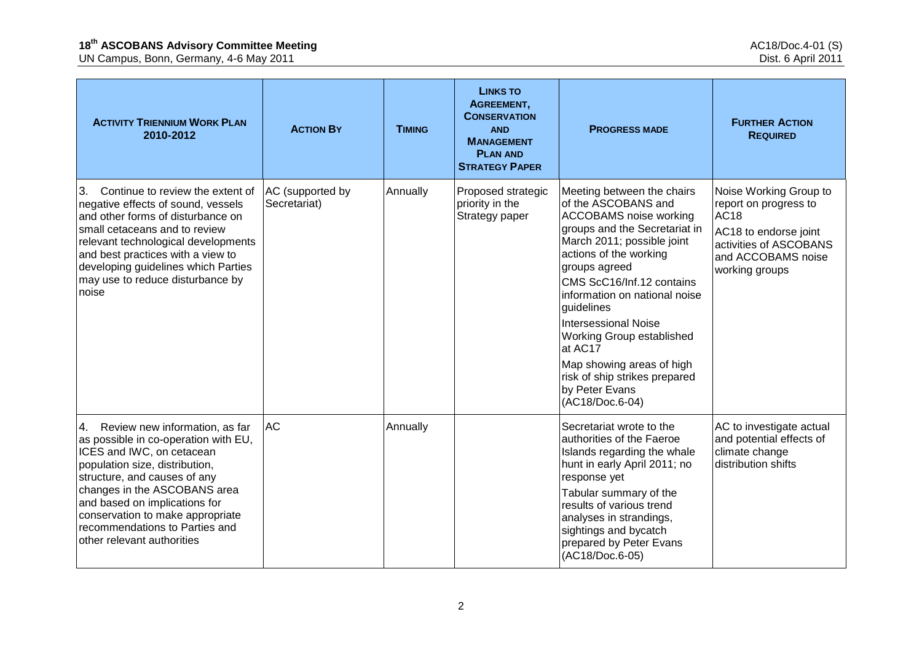| <b>ACTIVITY TRIENNIUM WORK PLAN</b><br>2010-2012                                                                                                                                                                                                                                                                                              | <b>ACTION BY</b>                 | <b>TIMING</b> | <b>LINKS TO</b><br>AGREEMENT,<br><b>CONSERVATION</b><br><b>AND</b><br><b>MANAGEMENT</b><br><b>PLAN AND</b><br><b>STRATEGY PAPER</b> | <b>PROGRESS MADE</b>                                                                                                                                                                                                                                                                                                                                                                                                                               | <b>FURTHER ACTION</b><br><b>REQUIRED</b>                                                                                                                  |
|-----------------------------------------------------------------------------------------------------------------------------------------------------------------------------------------------------------------------------------------------------------------------------------------------------------------------------------------------|----------------------------------|---------------|-------------------------------------------------------------------------------------------------------------------------------------|----------------------------------------------------------------------------------------------------------------------------------------------------------------------------------------------------------------------------------------------------------------------------------------------------------------------------------------------------------------------------------------------------------------------------------------------------|-----------------------------------------------------------------------------------------------------------------------------------------------------------|
| 3 <sub>1</sub><br>Continue to review the extent of<br>negative effects of sound, vessels<br>and other forms of disturbance on<br>small cetaceans and to review<br>relevant technological developments<br>and best practices with a view to<br>developing guidelines which Parties<br>may use to reduce disturbance by<br>noise                | AC (supported by<br>Secretariat) | Annually      | Proposed strategic<br>priority in the<br>Strategy paper                                                                             | Meeting between the chairs<br>of the ASCOBANS and<br><b>ACCOBAMS</b> noise working<br>groups and the Secretariat in<br>March 2011; possible joint<br>actions of the working<br>groups agreed<br>CMS ScC16/Inf.12 contains<br>information on national noise<br>guidelines<br><b>Intersessional Noise</b><br>Working Group established<br>at AC17<br>Map showing areas of high<br>risk of ship strikes prepared<br>by Peter Evans<br>(AC18/Doc.6-04) | Noise Working Group to<br>report on progress to<br><b>AC18</b><br>AC18 to endorse joint<br>activities of ASCOBANS<br>and ACCOBAMS noise<br>working groups |
| 4. Review new information, as far<br>as possible in co-operation with EU,<br>ICES and IWC, on cetacean<br>population size, distribution,<br>structure, and causes of any<br>changes in the ASCOBANS area<br>and based on implications for<br>conservation to make appropriate<br>recommendations to Parties and<br>other relevant authorities | <b>AC</b>                        | Annually      |                                                                                                                                     | Secretariat wrote to the<br>authorities of the Faeroe<br>Islands regarding the whale<br>hunt in early April 2011; no<br>response yet<br>Tabular summary of the<br>results of various trend<br>analyses in strandings,<br>sightings and bycatch<br>prepared by Peter Evans<br>(AC18/Doc.6-05)                                                                                                                                                       | AC to investigate actual<br>and potential effects of<br>climate change<br>distribution shifts                                                             |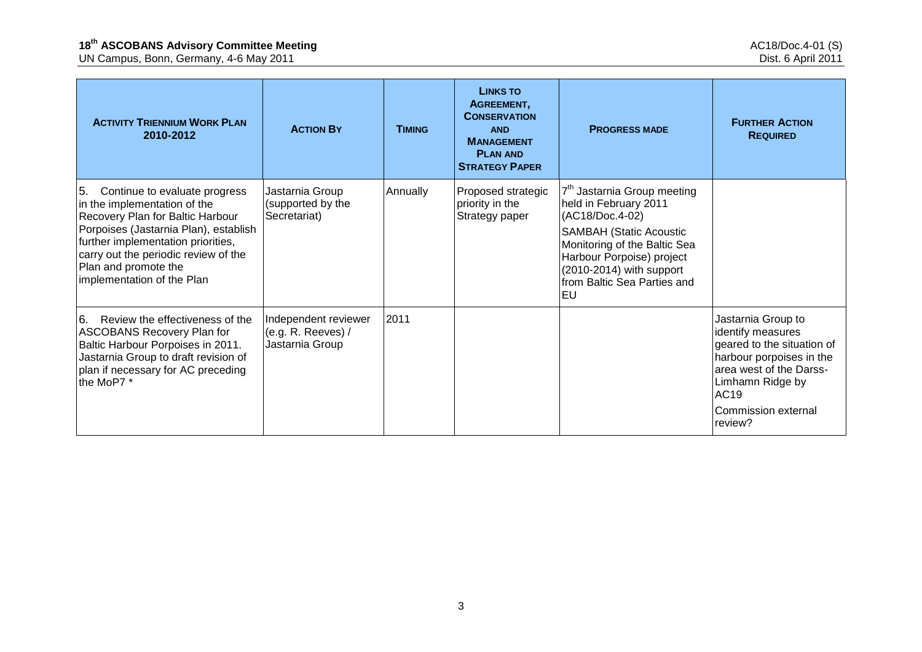| <b>ACTIVITY TRIENNIUM WORK PLAN</b><br>2010-2012                                                                                                                                                                                                                                     | <b>ACTION BY</b>                                                | <b>TIMING</b> | <b>LINKS TO</b><br>AGREEMENT,<br><b>CONSERVATION</b><br><b>AND</b><br><b>MANAGEMENT</b><br><b>PLAN AND</b><br><b>STRATEGY PAPER</b> | <b>PROGRESS MADE</b>                                                                                                                                                                                                                                | <b>FURTHER ACTION</b><br><b>REQUIRED</b>                                                                                                                                                   |
|--------------------------------------------------------------------------------------------------------------------------------------------------------------------------------------------------------------------------------------------------------------------------------------|-----------------------------------------------------------------|---------------|-------------------------------------------------------------------------------------------------------------------------------------|-----------------------------------------------------------------------------------------------------------------------------------------------------------------------------------------------------------------------------------------------------|--------------------------------------------------------------------------------------------------------------------------------------------------------------------------------------------|
| 5.<br>Continue to evaluate progress<br>in the implementation of the<br>Recovery Plan for Baltic Harbour<br>Porpoises (Jastarnia Plan), establish<br>further implementation priorities,<br>carry out the periodic review of the<br>Plan and promote the<br>implementation of the Plan | Jastarnia Group<br>(supported by the<br>Secretariat)            | Annually      | Proposed strategic<br>priority in the<br>Strategy paper                                                                             | 7 <sup>th</sup> Jastarnia Group meeting<br>held in February 2011<br>(AC18/Doc.4-02)<br><b>SAMBAH (Static Acoustic</b><br>Monitoring of the Baltic Sea<br>Harbour Porpoise) project<br>(2010-2014) with support<br>from Baltic Sea Parties and<br>EU |                                                                                                                                                                                            |
| ြ<br>Review the effectiveness of the<br><b>ASCOBANS Recovery Plan for</b><br>Baltic Harbour Porpoises in 2011.<br>Jastarnia Group to draft revision of<br>plan if necessary for AC preceding<br>the MoP7 *                                                                           | Independent reviewer<br>(e.g. R. Reeves) $/$<br>Jastarnia Group | 2011          |                                                                                                                                     |                                                                                                                                                                                                                                                     | Jastarnia Group to<br>identify measures<br>geared to the situation of<br>harbour porpoises in the<br>area west of the Darss-<br>Limhamn Ridge by<br>AC19<br>Commission external<br>review? |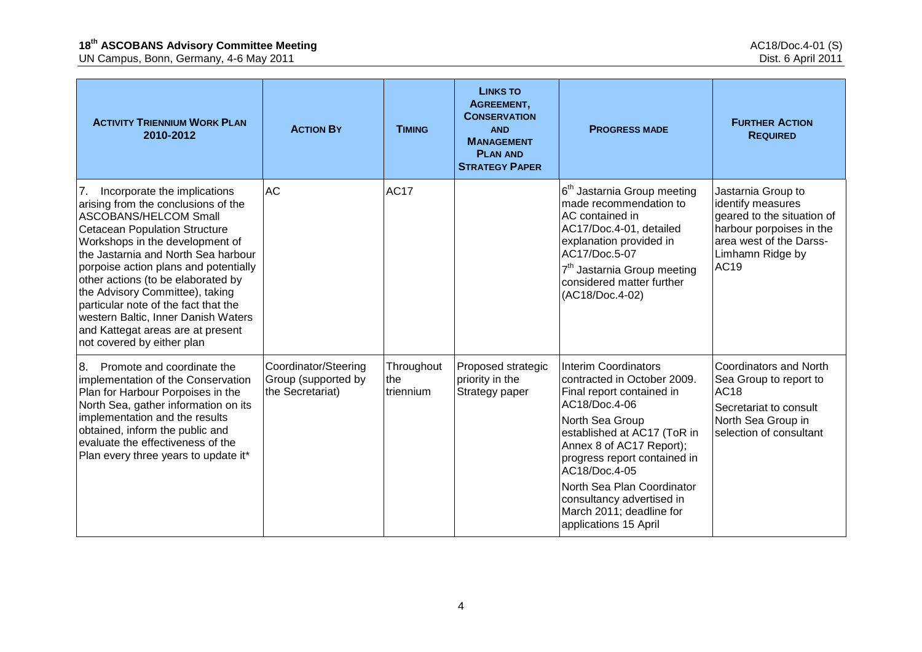| <b>ACTIVITY TRIENNIUM WORK PLAN</b><br>2010-2012                                                                                                                                                                                                                                                                                                                                                                                                                                                | <b>ACTION BY</b>                                                | <b>TIMING</b>                  | <b>LINKS TO</b><br>AGREEMENT,<br><b>CONSERVATION</b><br><b>AND</b><br><b>MANAGEMENT</b><br><b>PLAN AND</b><br><b>STRATEGY PAPER</b> | <b>PROGRESS MADE</b>                                                                                                                                                                                                                                                                                                                                    | <b>FURTHER ACTION</b><br><b>REQUIRED</b>                                                                                                                        |
|-------------------------------------------------------------------------------------------------------------------------------------------------------------------------------------------------------------------------------------------------------------------------------------------------------------------------------------------------------------------------------------------------------------------------------------------------------------------------------------------------|-----------------------------------------------------------------|--------------------------------|-------------------------------------------------------------------------------------------------------------------------------------|---------------------------------------------------------------------------------------------------------------------------------------------------------------------------------------------------------------------------------------------------------------------------------------------------------------------------------------------------------|-----------------------------------------------------------------------------------------------------------------------------------------------------------------|
| Incorporate the implications<br>7.<br>arising from the conclusions of the<br><b>ASCOBANS/HELCOM Small</b><br><b>Cetacean Population Structure</b><br>Workshops in the development of<br>the Jastarnia and North Sea harbour<br>porpoise action plans and potentially<br>other actions (to be elaborated by<br>the Advisory Committee), taking<br>particular note of the fact that the<br>western Baltic, Inner Danish Waters<br>and Kattegat areas are at present<br>not covered by either plan | <b>AC</b>                                                       | <b>AC17</b>                    |                                                                                                                                     | 6 <sup>th</sup> Jastarnia Group meeting<br>made recommendation to<br>AC contained in<br>AC17/Doc.4-01, detailed<br>explanation provided in<br>AC17/Doc.5-07<br>7 <sup>th</sup> Jastarnia Group meeting<br>considered matter further<br>(AC18/Doc.4-02)                                                                                                  | Jastarnia Group to<br>identify measures<br>geared to the situation of<br>harbour porpoises in the<br>area west of the Darss-<br>Limhamn Ridge by<br><b>AC19</b> |
| Promote and coordinate the<br>8.<br>implementation of the Conservation<br>Plan for Harbour Porpoises in the<br>North Sea, gather information on its<br>implementation and the results<br>obtained, inform the public and<br>evaluate the effectiveness of the<br>Plan every three years to update it*                                                                                                                                                                                           | Coordinator/Steering<br>Group (supported by<br>the Secretariat) | Throughout<br>the<br>triennium | Proposed strategic<br>priority in the<br>Strategy paper                                                                             | <b>Interim Coordinators</b><br>contracted in October 2009.<br>Final report contained in<br>AC18/Doc.4-06<br>North Sea Group<br>established at AC17 (ToR in<br>Annex 8 of AC17 Report);<br>progress report contained in<br>AC18/Doc.4-05<br>North Sea Plan Coordinator<br>consultancy advertised in<br>March 2011; deadline for<br>applications 15 April | Coordinators and North<br>Sea Group to report to<br><b>AC18</b><br>Secretariat to consult<br>North Sea Group in<br>selection of consultant                      |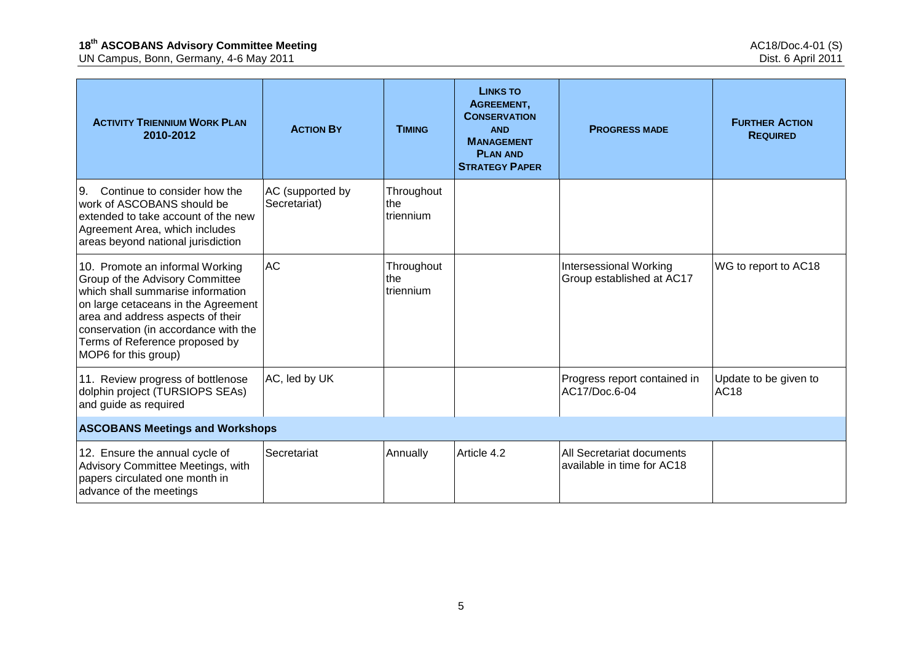| <b>ACTIVITY TRIENNIUM WORK PLAN</b><br>2010-2012                                                                                                                                                                                                                                      | <b>ACTION BY</b>                 | <b>TIMING</b>                  | <b>LINKS TO</b><br>AGREEMENT,<br><b>CONSERVATION</b><br><b>AND</b><br><b>MANAGEMENT</b><br><b>PLAN AND</b><br><b>STRATEGY PAPER</b> | <b>PROGRESS MADE</b>                                       | <b>FURTHER ACTION</b><br><b>REQUIRED</b> |  |  |  |
|---------------------------------------------------------------------------------------------------------------------------------------------------------------------------------------------------------------------------------------------------------------------------------------|----------------------------------|--------------------------------|-------------------------------------------------------------------------------------------------------------------------------------|------------------------------------------------------------|------------------------------------------|--|--|--|
| Continue to consider how the<br>9.<br>work of ASCOBANS should be<br>extended to take account of the new<br>Agreement Area, which includes<br>areas beyond national jurisdiction                                                                                                       | AC (supported by<br>Secretariat) | Throughout<br>the<br>triennium |                                                                                                                                     |                                                            |                                          |  |  |  |
| 10. Promote an informal Working<br>Group of the Advisory Committee<br>which shall summarise information<br>on large cetaceans in the Agreement<br>area and address aspects of their<br>conservation (in accordance with the<br>Terms of Reference proposed by<br>MOP6 for this group) | <b>AC</b>                        | Throughout<br>the<br>triennium |                                                                                                                                     | <b>Intersessional Working</b><br>Group established at AC17 | WG to report to AC18                     |  |  |  |
| 11. Review progress of bottlenose<br>dolphin project (TURSIOPS SEAs)<br>and guide as required                                                                                                                                                                                         | AC, led by UK                    |                                |                                                                                                                                     | Progress report contained in<br>AC17/Doc.6-04              | Update to be given to<br>AC18            |  |  |  |
| <b>ASCOBANS Meetings and Workshops</b>                                                                                                                                                                                                                                                |                                  |                                |                                                                                                                                     |                                                            |                                          |  |  |  |
| 12. Ensure the annual cycle of<br>Advisory Committee Meetings, with<br>papers circulated one month in<br>advance of the meetings                                                                                                                                                      | Secretariat                      | Annually                       | Article 4.2                                                                                                                         | All Secretariat documents<br>available in time for AC18    |                                          |  |  |  |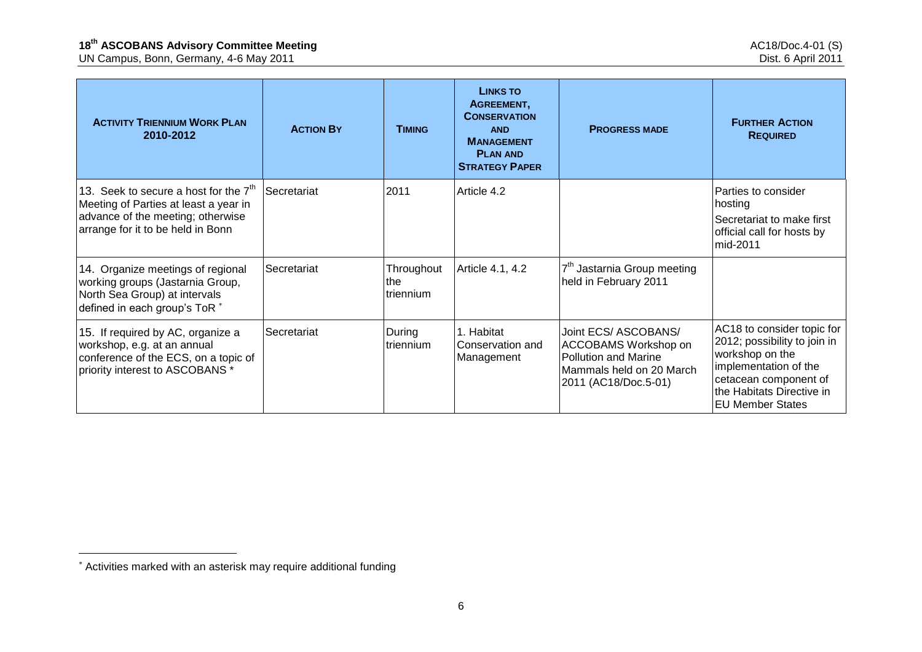UN Campus, Bonn, Germany, 4-6 May 2011 Dist. 6 April 2011

| <b>ACTIVITY TRIENNIUM WORK PLAN</b><br>2010-2012                                                                                                           | <b>ACTION BY</b> | <b>TIMING</b>                   | <b>LINKS TO</b><br>AGREEMENT,<br><b>CONSERVATION</b><br><b>AND</b><br><b>MANAGEMENT</b><br><b>PLAN AND</b><br><b>STRATEGY PAPER</b> | <b>PROGRESS MADE</b>                                                                                                                   | <b>FURTHER ACTION</b><br><b>REQUIRED</b>                                                                                                                                                |
|------------------------------------------------------------------------------------------------------------------------------------------------------------|------------------|---------------------------------|-------------------------------------------------------------------------------------------------------------------------------------|----------------------------------------------------------------------------------------------------------------------------------------|-----------------------------------------------------------------------------------------------------------------------------------------------------------------------------------------|
| 13. Seek to secure a host for the $7th$<br>Meeting of Parties at least a year in<br>advance of the meeting; otherwise<br>arrange for it to be held in Bonn | Secretariat      | 2011                            | Article 4.2                                                                                                                         |                                                                                                                                        | Parties to consider<br>hosting<br>Secretariat to make first<br>official call for hosts by<br>mid-2011                                                                                   |
| 14. Organize meetings of regional<br>working groups (Jastarnia Group,<br>North Sea Group) at intervals<br>defined in each group's ToR *                    | Secretariat      | Throughout<br>∣the<br>triennium | Article 4.1, 4.2                                                                                                                    | 7 <sup>th</sup> Jastarnia Group meeting<br>held in February 2011                                                                       |                                                                                                                                                                                         |
| 15. If required by AC, organize a<br>workshop, e.g. at an annual<br>conference of the ECS, on a topic of<br>priority interest to ASCOBANS *                | Secretariat      | During<br>  triennium           | 1. Habitat<br>Conservation and<br>Management                                                                                        | Joint ECS/ ASCOBANS/<br><b>ACCOBAMS Workshop on</b><br><b>Pollution and Marine</b><br>Mammals held on 20 March<br>2011 (AC18/Doc.5-01) | AC18 to consider topic for<br>2012; possibility to join in<br>workshop on the<br>implementation of the<br>cetacean component of<br>the Habitats Directive in<br><b>EU Member States</b> |

<u>.</u>

Activities marked with an asterisk may require additional funding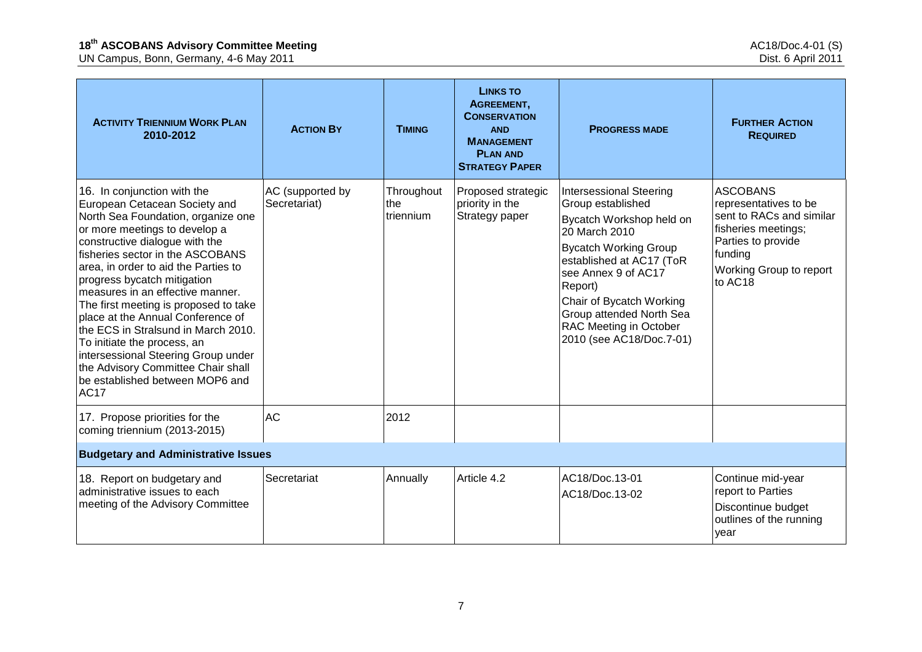| <b>ACTIVITY TRIENNIUM WORK PLAN</b><br>2010-2012                                                                                                                                                                                                                                                                                                                                                                                                                                                                                                                                                        | <b>ACTION BY</b>                 | <b>TIMING</b>                  | LINKS TO<br>AGREEMENT,<br><b>CONSERVATION</b><br><b>AND</b><br><b>MANAGEMENT</b><br><b>PLAN AND</b><br><b>STRATEGY PAPER</b> | <b>PROGRESS MADE</b>                                                                                                                                                                                                                                                                                         | <b>FURTHER ACTION</b><br><b>REQUIRED</b>                                                                                                                           |
|---------------------------------------------------------------------------------------------------------------------------------------------------------------------------------------------------------------------------------------------------------------------------------------------------------------------------------------------------------------------------------------------------------------------------------------------------------------------------------------------------------------------------------------------------------------------------------------------------------|----------------------------------|--------------------------------|------------------------------------------------------------------------------------------------------------------------------|--------------------------------------------------------------------------------------------------------------------------------------------------------------------------------------------------------------------------------------------------------------------------------------------------------------|--------------------------------------------------------------------------------------------------------------------------------------------------------------------|
| 16. In conjunction with the<br>European Cetacean Society and<br>North Sea Foundation, organize one<br>or more meetings to develop a<br>constructive dialogue with the<br>fisheries sector in the ASCOBANS<br>area, in order to aid the Parties to<br>progress bycatch mitigation<br>measures in an effective manner.<br>The first meeting is proposed to take<br>place at the Annual Conference of<br>the ECS in Stralsund in March 2010.<br>To initiate the process, an<br>intersessional Steering Group under<br>the Advisory Committee Chair shall<br>be established between MOP6 and<br><b>AC17</b> | AC (supported by<br>Secretariat) | Throughout<br>the<br>triennium | Proposed strategic<br>priority in the<br>Strategy paper                                                                      | <b>Intersessional Steering</b><br>Group established<br>Bycatch Workshop held on<br>20 March 2010<br><b>Bycatch Working Group</b><br>established at AC17 (ToR<br>see Annex 9 of AC17<br>Report)<br>Chair of Bycatch Working<br>Group attended North Sea<br>RAC Meeting in October<br>2010 (see AC18/Doc.7-01) | <b>ASCOBANS</b><br>representatives to be<br>sent to RACs and similar<br>fisheries meetings;<br>Parties to provide<br>funding<br>Working Group to report<br>to AC18 |
| 17. Propose priorities for the<br>coming triennium (2013-2015)                                                                                                                                                                                                                                                                                                                                                                                                                                                                                                                                          | <b>AC</b>                        | 2012                           |                                                                                                                              |                                                                                                                                                                                                                                                                                                              |                                                                                                                                                                    |
| <b>Budgetary and Administrative Issues</b>                                                                                                                                                                                                                                                                                                                                                                                                                                                                                                                                                              |                                  |                                |                                                                                                                              |                                                                                                                                                                                                                                                                                                              |                                                                                                                                                                    |
| 18. Report on budgetary and<br>administrative issues to each<br>meeting of the Advisory Committee                                                                                                                                                                                                                                                                                                                                                                                                                                                                                                       | Secretariat                      | Annually                       | Article 4.2                                                                                                                  | AC18/Doc.13-01<br>AC18/Doc.13-02                                                                                                                                                                                                                                                                             | Continue mid-year<br>report to Parties<br>Discontinue budget<br>outlines of the running<br>vear                                                                    |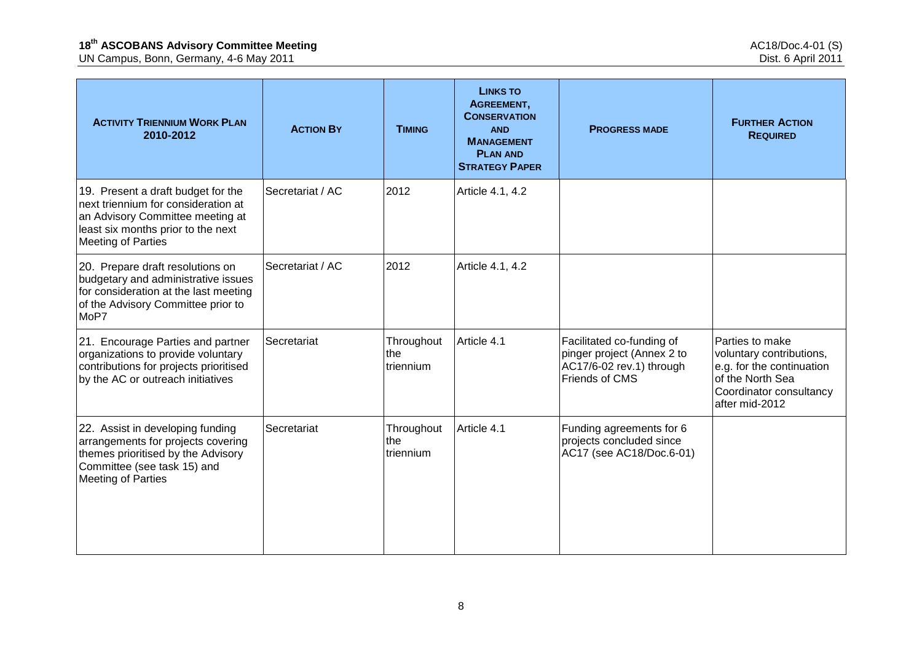| <b>ACTIVITY TRIENNIUM WORK PLAN</b><br>2010-2012                                                                                                                                 | <b>ACTION BY</b> | <b>TIMING</b>                  | <b>LINKS TO</b><br>AGREEMENT,<br><b>CONSERVATION</b><br><b>AND</b><br><b>MANAGEMENT</b><br><b>PLAN AND</b><br><b>STRATEGY PAPER</b> | <b>PROGRESS MADE</b>                                                                                  | <b>FURTHER ACTION</b><br><b>REQUIRED</b>                                                                                                  |
|----------------------------------------------------------------------------------------------------------------------------------------------------------------------------------|------------------|--------------------------------|-------------------------------------------------------------------------------------------------------------------------------------|-------------------------------------------------------------------------------------------------------|-------------------------------------------------------------------------------------------------------------------------------------------|
| 19. Present a draft budget for the<br>next triennium for consideration at<br>an Advisory Committee meeting at<br>least six months prior to the next<br><b>Meeting of Parties</b> | Secretariat / AC | 2012                           | Article 4.1, 4.2                                                                                                                    |                                                                                                       |                                                                                                                                           |
| 20. Prepare draft resolutions on<br>budgetary and administrative issues<br>for consideration at the last meeting<br>of the Advisory Committee prior to<br>MoP7                   | Secretariat / AC | 2012                           | Article 4.1, 4.2                                                                                                                    |                                                                                                       |                                                                                                                                           |
| 21. Encourage Parties and partner<br>organizations to provide voluntary<br>contributions for projects prioritised<br>by the AC or outreach initiatives                           | Secretariat      | Throughout<br>the<br>triennium | Article 4.1                                                                                                                         | Facilitated co-funding of<br>pinger project (Annex 2 to<br>AC17/6-02 rev.1) through<br>Friends of CMS | Parties to make<br>voluntary contributions,<br>e.g. for the continuation<br>of the North Sea<br>Coordinator consultancy<br>after mid-2012 |
| 22. Assist in developing funding<br>arrangements for projects covering<br>themes prioritised by the Advisory<br>Committee (see task 15) and<br><b>Meeting of Parties</b>         | Secretariat      | Throughout<br>the<br>triennium | Article 4.1                                                                                                                         | Funding agreements for 6<br>projects concluded since<br>AC17 (see AC18/Doc.6-01)                      |                                                                                                                                           |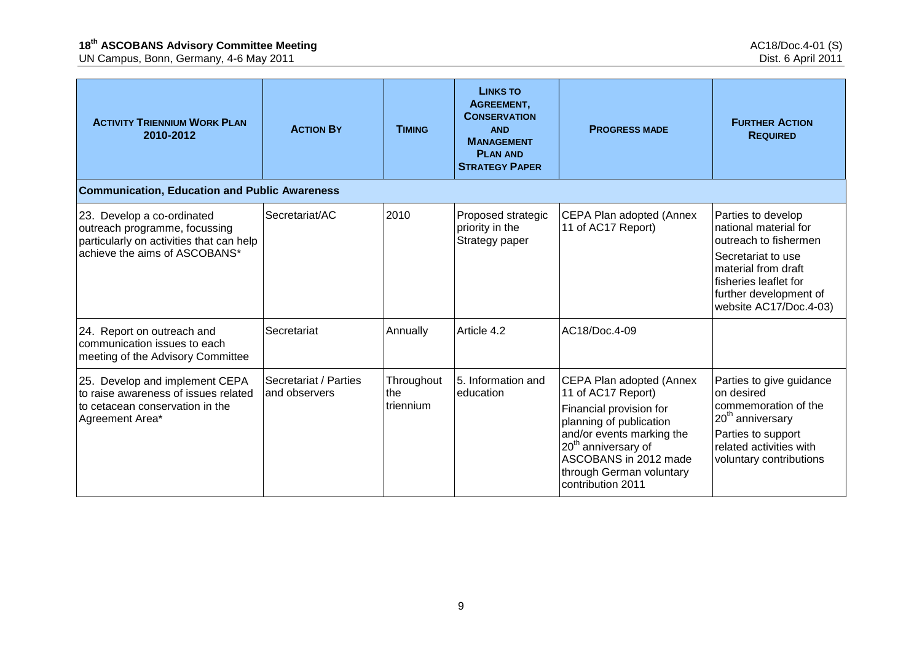| <b>ACTIVITY TRIENNIUM WORK PLAN</b><br>2010-2012                                                                                         | <b>ACTION BY</b>                       | <b>TIMING</b>                  | <b>LINKS TO</b><br>AGREEMENT,<br><b>CONSERVATION</b><br><b>AND</b><br><b>MANAGEMENT</b><br><b>PLAN AND</b><br><b>STRATEGY PAPER</b> | <b>PROGRESS MADE</b>                                                                                                                                                                                                                           | <b>FURTHER ACTION</b><br><b>REQUIRED</b>                                                                                                                                                       |
|------------------------------------------------------------------------------------------------------------------------------------------|----------------------------------------|--------------------------------|-------------------------------------------------------------------------------------------------------------------------------------|------------------------------------------------------------------------------------------------------------------------------------------------------------------------------------------------------------------------------------------------|------------------------------------------------------------------------------------------------------------------------------------------------------------------------------------------------|
| <b>Communication, Education and Public Awareness</b>                                                                                     |                                        |                                |                                                                                                                                     |                                                                                                                                                                                                                                                |                                                                                                                                                                                                |
| 23. Develop a co-ordinated<br>outreach programme, focussing<br>particularly on activities that can help<br>achieve the aims of ASCOBANS* | Secretariat/AC                         | 2010                           | Proposed strategic<br>priority in the<br>Strategy paper                                                                             | CEPA Plan adopted (Annex<br>11 of AC17 Report)                                                                                                                                                                                                 | Parties to develop<br>national material for<br>outreach to fishermen<br>Secretariat to use<br>material from draft<br>fisheries leaflet for<br>further development of<br>website AC17/Doc.4-03) |
| 24. Report on outreach and<br>communication issues to each<br>meeting of the Advisory Committee                                          | Secretariat                            | Annually                       | Article 4.2                                                                                                                         | AC18/Doc.4-09                                                                                                                                                                                                                                  |                                                                                                                                                                                                |
| 25. Develop and implement CEPA<br>to raise awareness of issues related<br>to cetacean conservation in the<br>Agreement Area*             | Secretariat / Parties<br>and observers | Throughout<br>the<br>triennium | 5. Information and<br>education                                                                                                     | CEPA Plan adopted (Annex<br>11 of AC17 Report)<br>Financial provision for<br>planning of publication<br>and/or events marking the<br>20 <sup>th</sup> anniversary of<br>ASCOBANS in 2012 made<br>through German voluntary<br>contribution 2011 | Parties to give guidance<br>on desired<br>commemoration of the<br>20 <sup>th</sup> anniversary<br>Parties to support<br>related activities with<br>voluntary contributions                     |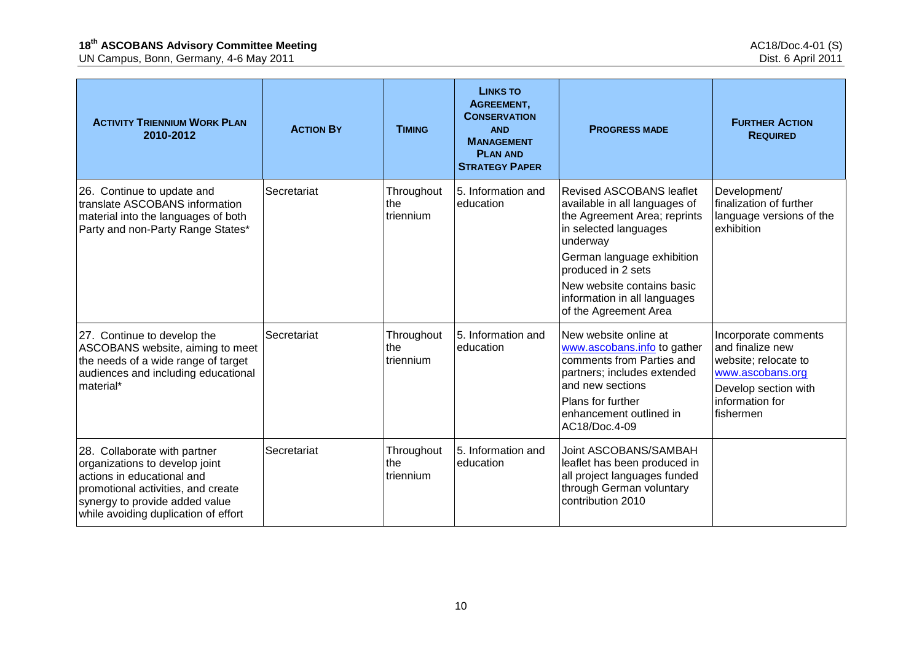| <b>ACTIVITY TRIENNIUM WORK PLAN</b><br>2010-2012                                                                                                                                                             | <b>ACTION BY</b> | <b>TIMING</b>                  | <b>LINKS TO</b><br>AGREEMENT,<br><b>CONSERVATION</b><br><b>AND</b><br><b>MANAGEMENT</b><br><b>PLAN AND</b><br><b>STRATEGY PAPER</b> | <b>PROGRESS MADE</b>                                                                                                                                                                                                                                                             | <b>FURTHER ACTION</b><br><b>REQUIRED</b>                                                                                                     |
|--------------------------------------------------------------------------------------------------------------------------------------------------------------------------------------------------------------|------------------|--------------------------------|-------------------------------------------------------------------------------------------------------------------------------------|----------------------------------------------------------------------------------------------------------------------------------------------------------------------------------------------------------------------------------------------------------------------------------|----------------------------------------------------------------------------------------------------------------------------------------------|
| 26. Continue to update and<br>translate ASCOBANS information<br>material into the languages of both<br>Party and non-Party Range States*                                                                     | Secretariat      | Throughout<br>the<br>triennium | 5. Information and<br>education                                                                                                     | <b>Revised ASCOBANS leaflet</b><br>available in all languages of<br>the Agreement Area; reprints<br>in selected languages<br>underway<br>German language exhibition<br>produced in 2 sets<br>New website contains basic<br>information in all languages<br>of the Agreement Area | Development/<br>finalization of further<br>language versions of the<br>exhibition                                                            |
| 27. Continue to develop the<br>ASCOBANS website, aiming to meet<br>the needs of a wide range of target<br>audiences and including educational<br>material*                                                   | Secretariat      | Throughout<br>the<br>triennium | 5. Information and<br>education                                                                                                     | New website online at<br>www.ascobans.info to gather<br>comments from Parties and<br>partners; includes extended<br>and new sections<br>Plans for further<br>enhancement outlined in<br>AC18/Doc.4-09                                                                            | Incorporate comments<br>and finalize new<br>website; relocate to<br>www.ascobans.org<br>Develop section with<br>information for<br>fishermen |
| 28. Collaborate with partner<br>organizations to develop joint<br>actions in educational and<br>promotional activities, and create<br>synergy to provide added value<br>while avoiding duplication of effort | Secretariat      | Throughout<br>the<br>triennium | 5. Information and<br>education                                                                                                     | Joint ASCOBANS/SAMBAH<br>leaflet has been produced in<br>all project languages funded<br>through German voluntary<br>contribution 2010                                                                                                                                           |                                                                                                                                              |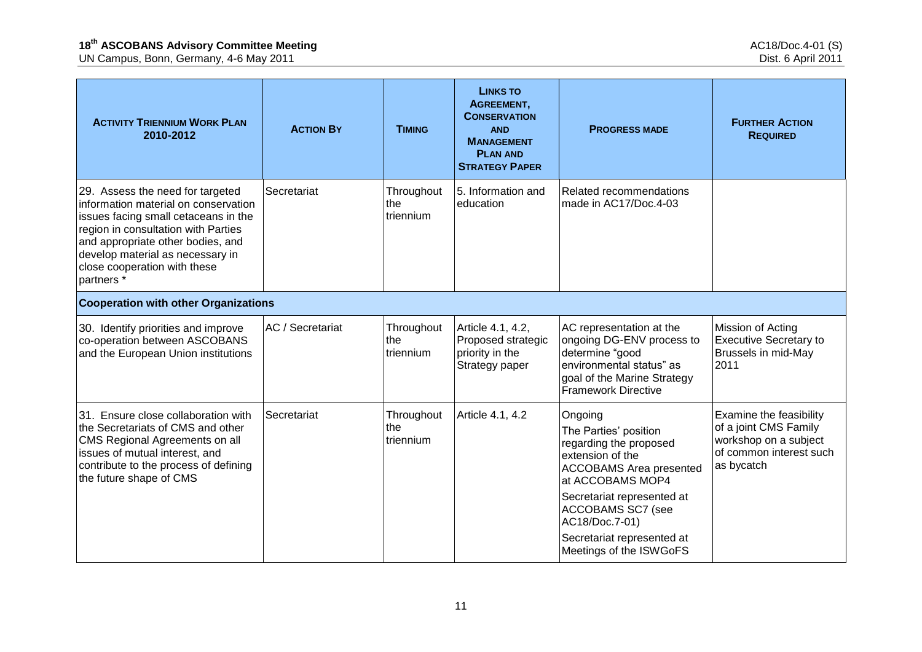| <b>ACTIVITY TRIENNIUM WORK PLAN</b><br>2010-2012                                                                                                                                                                                                                              | <b>ACTION BY</b> | <b>TIMING</b>                  | <b>LINKS TO</b><br>AGREEMENT,<br><b>CONSERVATION</b><br><b>AND</b><br><b>MANAGEMENT</b><br><b>PLAN AND</b><br><b>STRATEGY PAPER</b> | <b>PROGRESS MADE</b>                                                                                                                                                                                                                                               | <b>FURTHER ACTION</b><br><b>REQUIRED</b>                                                                           |
|-------------------------------------------------------------------------------------------------------------------------------------------------------------------------------------------------------------------------------------------------------------------------------|------------------|--------------------------------|-------------------------------------------------------------------------------------------------------------------------------------|--------------------------------------------------------------------------------------------------------------------------------------------------------------------------------------------------------------------------------------------------------------------|--------------------------------------------------------------------------------------------------------------------|
| 29. Assess the need for targeted<br>information material on conservation<br>issues facing small cetaceans in the<br>region in consultation with Parties<br>and appropriate other bodies, and<br>develop material as necessary in<br>close cooperation with these<br>partners* | Secretariat      | Throughout<br>the<br>triennium | 5. Information and<br>education                                                                                                     | Related recommendations<br>made in AC17/Doc.4-03                                                                                                                                                                                                                   |                                                                                                                    |
| <b>Cooperation with other Organizations</b>                                                                                                                                                                                                                                   |                  |                                |                                                                                                                                     |                                                                                                                                                                                                                                                                    |                                                                                                                    |
| 30. Identify priorities and improve<br>co-operation between ASCOBANS<br>and the European Union institutions                                                                                                                                                                   | AC / Secretariat | Throughout<br>the<br>triennium | Article 4.1, 4.2,<br>Proposed strategic<br>priority in the<br>Strategy paper                                                        | AC representation at the<br>ongoing DG-ENV process to<br>determine "good<br>environmental status" as<br>goal of the Marine Strategy<br><b>Framework Directive</b>                                                                                                  | Mission of Acting<br><b>Executive Secretary to</b><br>Brussels in mid-May<br>2011                                  |
| 31. Ensure close collaboration with<br>the Secretariats of CMS and other<br>CMS Regional Agreements on all<br>issues of mutual interest, and<br>contribute to the process of defining<br>the future shape of CMS                                                              | Secretariat      | Throughout<br>the<br>triennium | Article 4.1, 4.2                                                                                                                    | Ongoing<br>The Parties' position<br>regarding the proposed<br>extension of the<br><b>ACCOBAMS</b> Area presented<br>at ACCOBAMS MOP4<br>Secretariat represented at<br>ACCOBAMS SC7 (see<br>AC18/Doc.7-01)<br>Secretariat represented at<br>Meetings of the ISWGoFS | Examine the feasibility<br>of a joint CMS Family<br>workshop on a subject<br>of common interest such<br>as bycatch |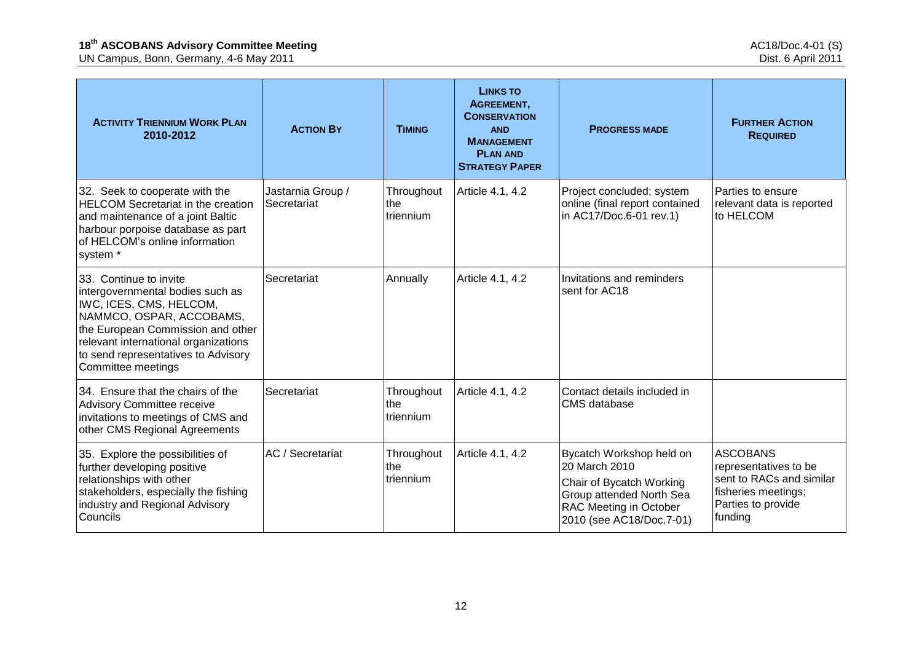| <b>ACTIVITY TRIENNIUM WORK PLAN</b><br>2010-2012                                                                                                                                                                                                            | <b>ACTION BY</b>                 | <b>TIMING</b>                  | <b>LINKS TO</b><br>AGREEMENT,<br><b>CONSERVATION</b><br><b>AND</b><br><b>MANAGEMENT</b><br><b>PLAN AND</b><br><b>STRATEGY PAPER</b> | <b>PROGRESS MADE</b>                                                                                                                                    | <b>FURTHER ACTION</b><br><b>REQUIRED</b>                                                                                     |
|-------------------------------------------------------------------------------------------------------------------------------------------------------------------------------------------------------------------------------------------------------------|----------------------------------|--------------------------------|-------------------------------------------------------------------------------------------------------------------------------------|---------------------------------------------------------------------------------------------------------------------------------------------------------|------------------------------------------------------------------------------------------------------------------------------|
| 32. Seek to cooperate with the<br><b>HELCOM Secretariat in the creation</b><br>and maintenance of a joint Baltic<br>harbour porpoise database as part<br>of HELCOM's online information<br>system <sup>*</sup>                                              | Jastarnia Group /<br>Secretariat | Throughout<br>the<br>triennium | Article 4.1, 4.2                                                                                                                    | Project concluded; system<br>online (final report contained<br>in AC17/Doc.6-01 rev.1)                                                                  | Parties to ensure<br>relevant data is reported<br>to HELCOM                                                                  |
| 33. Continue to invite<br>intergovernmental bodies such as<br>IWC, ICES, CMS, HELCOM,<br>NAMMCO, OSPAR, ACCOBAMS,<br>the European Commission and other<br>relevant international organizations<br>to send representatives to Advisory<br>Committee meetings | Secretariat                      | Annually                       | Article 4.1, 4.2                                                                                                                    | Invitations and reminders<br>sent for AC18                                                                                                              |                                                                                                                              |
| 34. Ensure that the chairs of the<br>Advisory Committee receive<br>invitations to meetings of CMS and<br>other CMS Regional Agreements                                                                                                                      | Secretariat                      | Throughout<br>the<br>triennium | Article 4.1, 4.2                                                                                                                    | Contact details included in<br>CMS database                                                                                                             |                                                                                                                              |
| 35. Explore the possibilities of<br>further developing positive<br>relationships with other<br>stakeholders, especially the fishing<br>industry and Regional Advisory<br>Councils                                                                           | AC / Secretariat                 | Throughout<br>the<br>triennium | Article 4.1, 4.2                                                                                                                    | Bycatch Workshop held on<br>20 March 2010<br>Chair of Bycatch Working<br>Group attended North Sea<br>RAC Meeting in October<br>2010 (see AC18/Doc.7-01) | <b>ASCOBANS</b><br>representatives to be<br>sent to RACs and similar<br>fisheries meetings;<br>Parties to provide<br>funding |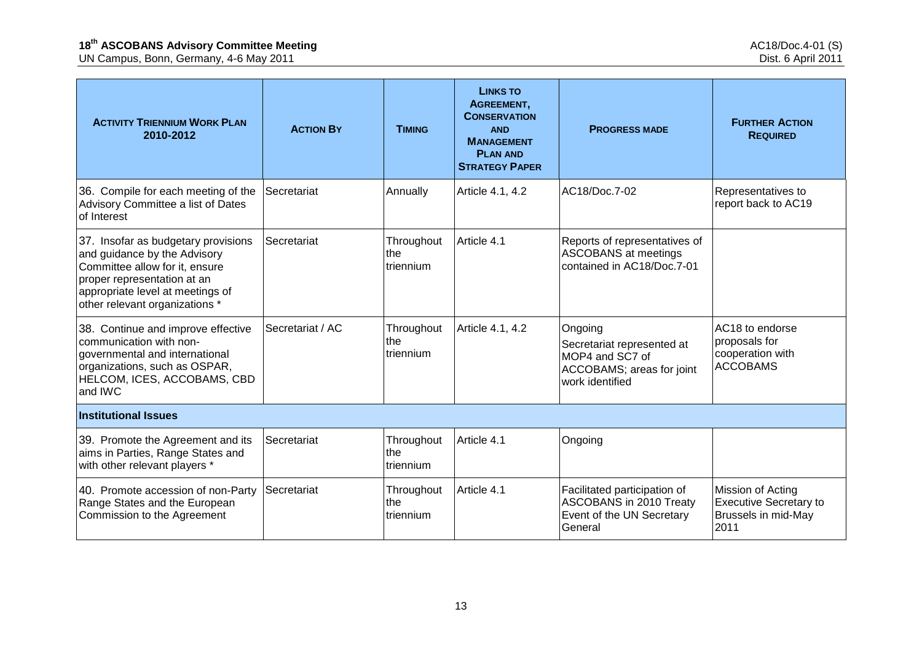| <b>ACTIVITY TRIENNIUM WORK PLAN</b><br>2010-2012                                                                                                                                                           | <b>ACTION BY</b> | <b>TIMING</b>                  | <b>LINKS TO</b><br>AGREEMENT,<br><b>CONSERVATION</b><br><b>AND</b><br><b>MANAGEMENT</b><br><b>PLAN AND</b><br><b>STRATEGY PAPER</b> | <b>PROGRESS MADE</b>                                                                                     | <b>FURTHER ACTION</b><br><b>REQUIRED</b>                                          |  |  |  |
|------------------------------------------------------------------------------------------------------------------------------------------------------------------------------------------------------------|------------------|--------------------------------|-------------------------------------------------------------------------------------------------------------------------------------|----------------------------------------------------------------------------------------------------------|-----------------------------------------------------------------------------------|--|--|--|
| 36. Compile for each meeting of the<br>Advisory Committee a list of Dates<br>of Interest                                                                                                                   | Secretariat      | Annually                       | Article 4.1, 4.2                                                                                                                    | AC18/Doc.7-02                                                                                            | Representatives to<br>report back to AC19                                         |  |  |  |
| 37. Insofar as budgetary provisions<br>and guidance by the Advisory<br>Committee allow for it, ensure<br>proper representation at an<br>appropriate level at meetings of<br>other relevant organizations * | Secretariat      | Throughout<br>the<br>triennium | Article 4.1                                                                                                                         | Reports of representatives of<br>ASCOBANS at meetings<br>contained in AC18/Doc.7-01                      |                                                                                   |  |  |  |
| 38. Continue and improve effective<br>communication with non-<br>governmental and international<br>organizations, such as OSPAR,<br>HELCOM, ICES, ACCOBAMS, CBD<br>and IWC                                 | Secretariat / AC | Throughout<br>the<br>triennium | Article 4.1, 4.2                                                                                                                    | Ongoing<br>Secretariat represented at<br>MOP4 and SC7 of<br>ACCOBAMS; areas for joint<br>work identified | AC18 to endorse<br>proposals for<br>cooperation with<br><b>ACCOBAMS</b>           |  |  |  |
| <b>Institutional Issues</b>                                                                                                                                                                                |                  |                                |                                                                                                                                     |                                                                                                          |                                                                                   |  |  |  |
| 39. Promote the Agreement and its<br>aims in Parties, Range States and<br>with other relevant players *                                                                                                    | Secretariat      | Throughout<br>the<br>triennium | Article 4.1                                                                                                                         | Ongoing                                                                                                  |                                                                                   |  |  |  |
| 40. Promote accession of non-Party<br>Range States and the European<br>Commission to the Agreement                                                                                                         | Secretariat      | Throughout<br>the<br>triennium | Article 4.1                                                                                                                         | Facilitated participation of<br>ASCOBANS in 2010 Treaty<br>Event of the UN Secretary<br>General          | Mission of Acting<br><b>Executive Secretary to</b><br>Brussels in mid-May<br>2011 |  |  |  |